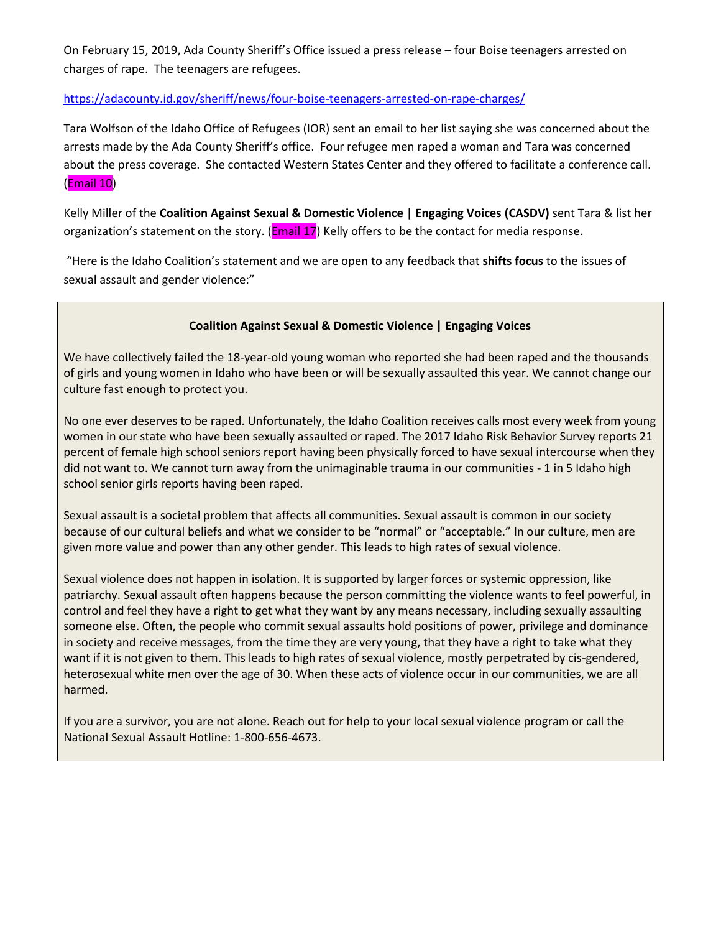On February 15, 2019, Ada County Sheriff's Office issued a press release – four Boise teenagers arrested on charges of rape. The teenagers are refugees.

## <https://adacounty.id.gov/sheriff/news/four-boise-teenagers-arrested-on-rape-charges/>

Tara Wolfson of the Idaho Office of Refugees (IOR) sent an email to her list saying she was concerned about the arrests made by the Ada County Sheriff's office. Four refugee men raped a woman and Tara was concerned about the press coverage. She contacted Western States Center and they offered to facilitate a conference call. (Email 10)

Kelly Miller of the **Coalition Against Sexual & Domestic Violence | Engaging Voices (CASDV)** sent Tara & list her organization's statement on the story. (**Email 17**) Kelly offers to be the contact for media response.

"Here is the Idaho Coalition's statement and we are open to any feedback that **shifts focus** to the issues of sexual assault and gender violence:"

## **Coalition Against Sexual & Domestic Violence | Engaging Voices**

We have collectively failed the 18-year-old young woman who reported she had been raped and the thousands of girls and young women in Idaho who have been or will be sexually assaulted this year. We cannot change our culture fast enough to protect you.

No one ever deserves to be raped. Unfortunately, the Idaho Coalition receives calls most every week from young women in our state who have been sexually assaulted or raped. The 2017 Idaho Risk Behavior Survey reports 21 percent of female high school seniors report having been physically forced to have sexual intercourse when they did not want to. We cannot turn away from the unimaginable trauma in our communities - 1 in 5 Idaho high school senior girls reports having been raped.

Sexual assault is a societal problem that affects all communities. Sexual assault is common in our society because of our cultural beliefs and what we consider to be "normal" or "acceptable." In our culture, men are given more value and power than any other gender. This leads to high rates of sexual violence.

Sexual violence does not happen in isolation. It is supported by larger forces or systemic oppression, like patriarchy. Sexual assault often happens because the person committing the violence wants to feel powerful, in control and feel they have a right to get what they want by any means necessary, including sexually assaulting someone else. Often, the people who commit sexual assaults hold positions of power, privilege and dominance in society and receive messages, from the time they are very young, that they have a right to take what they want if it is not given to them. This leads to high rates of sexual violence, mostly perpetrated by cis-gendered, heterosexual white men over the age of 30. When these acts of violence occur in our communities, we are all harmed.

If you are a survivor, you are not alone. Reach out for help to your local sexual violence program or call the National Sexual Assault Hotline: 1-800-656-4673.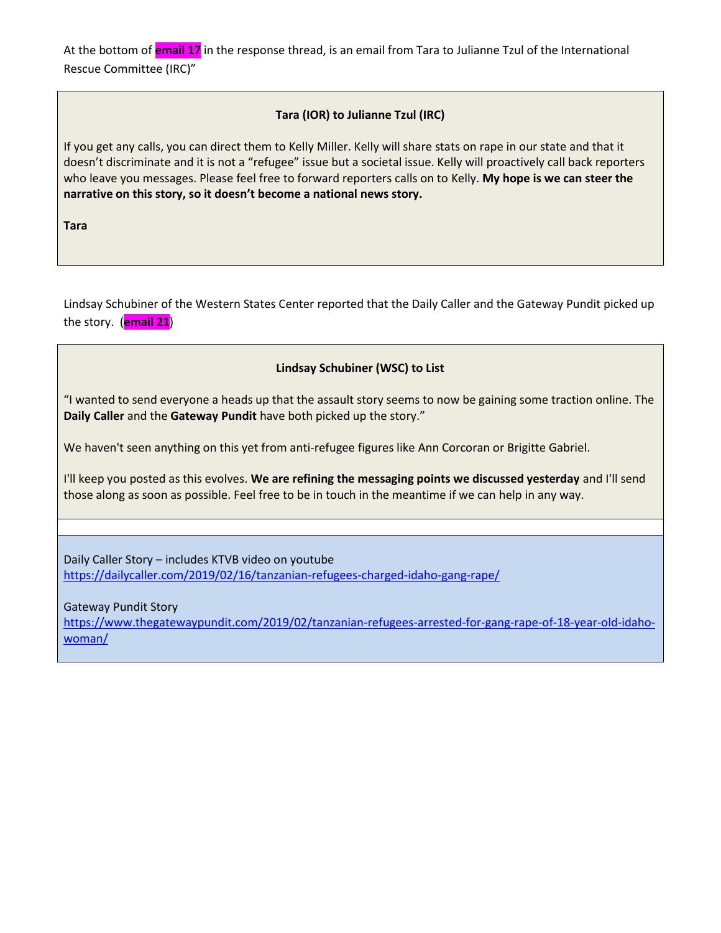At the bottom of **email 17** in the response thread, is an email from Tara to Julianne Tzul of the International Rescue Committee (IRC)"

# **Tara (IOR) to Julianne Tzul (IRC)**

If you get any calls, you can direct them to Kelly Miller. Kelly will share stats on rape in our state and that it doesn't discriminate and it is not a "refugee" issue but a societal issue. Kelly will proactively call back reporters who leave you messages. Please feel free to forward reporters calls on to Kelly. **My hope is we can steer the narrative on this story, so it doesn't become a national news story.**

**Tara**

Lindsay Schubiner of the Western States Center reported that the Daily Caller and the Gateway Pundit picked up the story. (**email 21**)

# **Lindsay Schubiner (WSC) to List**

"I wanted to send everyone a heads up that the assault story seems to now be gaining some traction online. The **Daily Caller** and the **Gateway Pundit** have both picked up the story."

We haven't seen anything on this yet from anti-refugee figures like Ann Corcoran or Brigitte Gabriel.

I'll keep you posted as this evolves. **We are refining the messaging points we discussed yesterday** and I'll send those along as soon as possible. Feel free to be in touch in the meantime if we can help in any way.

Daily Caller Story – includes KTVB video on youtube

<https://dailycaller.com/2019/02/16/tanzanian-refugees-charged-idaho-gang-rape/>

Gateway Pundit Story

[https://www.thegatewaypundit.com/2019/02/tanzanian-refugees-arrested-for-gang-rape-of-18-year-old-idaho](https://www.thegatewaypundit.com/2019/02/tanzanian-refugees-arrested-for-gang-rape-of-18-year-old-idaho-woman/)[woman/](https://www.thegatewaypundit.com/2019/02/tanzanian-refugees-arrested-for-gang-rape-of-18-year-old-idaho-woman/)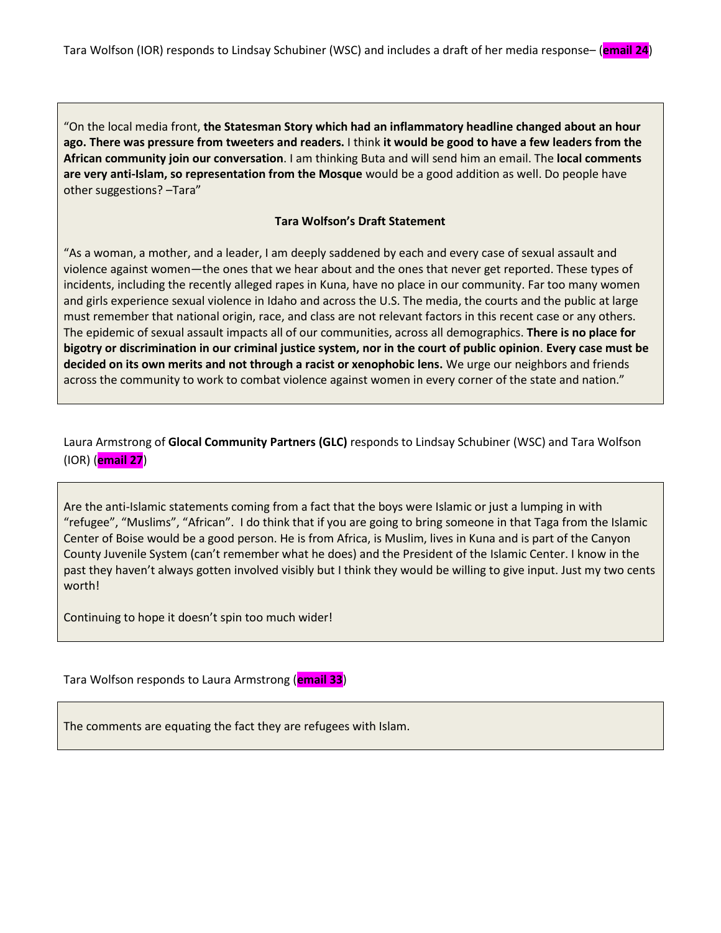"On the local media front, **the Statesman Story which had an inflammatory headline changed about an hour ago. There was pressure from tweeters and readers.** I think **it would be good to have a few leaders from the African community join our conversation**. I am thinking Buta and will send him an email. The **local comments are very anti-Islam, so representation from the Mosque** would be a good addition as well. Do people have other suggestions? –Tara"

### **Tara Wolfson's Draft Statement**

"As a woman, a mother, and a leader, I am deeply saddened by each and every case of sexual assault and violence against women—the ones that we hear about and the ones that never get reported. These types of incidents, including the recently alleged rapes in Kuna, have no place in our community. Far too many women and girls experience sexual violence in Idaho and across the U.S. The media, the courts and the public at large must remember that national origin, race, and class are not relevant factors in this recent case or any others. The epidemic of sexual assault impacts all of our communities, across all demographics. **There is no place for bigotry or discrimination in our criminal justice system, nor in the court of public opinion**. **Every case must be decided on its own merits and not through a racist or xenophobic lens.** We urge our neighbors and friends across the community to work to combat violence against women in every corner of the state and nation."

Laura Armstrong of **Glocal Community Partners (GLC)** responds to Lindsay Schubiner (WSC) and Tara Wolfson (IOR) (**email 27**)

Are the anti-Islamic statements coming from a fact that the boys were Islamic or just a lumping in with "refugee", "Muslims", "African". I do think that if you are going to bring someone in that Taga from the Islamic Center of Boise would be a good person. He is from Africa, is Muslim, lives in Kuna and is part of the Canyon County Juvenile System (can't remember what he does) and the President of the Islamic Center. I know in the past they haven't always gotten involved visibly but I think they would be willing to give input. Just my two cents worth!

Continuing to hope it doesn't spin too much wider!

Tara Wolfson responds to Laura Armstrong (**email 33**)

The comments are equating the fact they are refugees with Islam.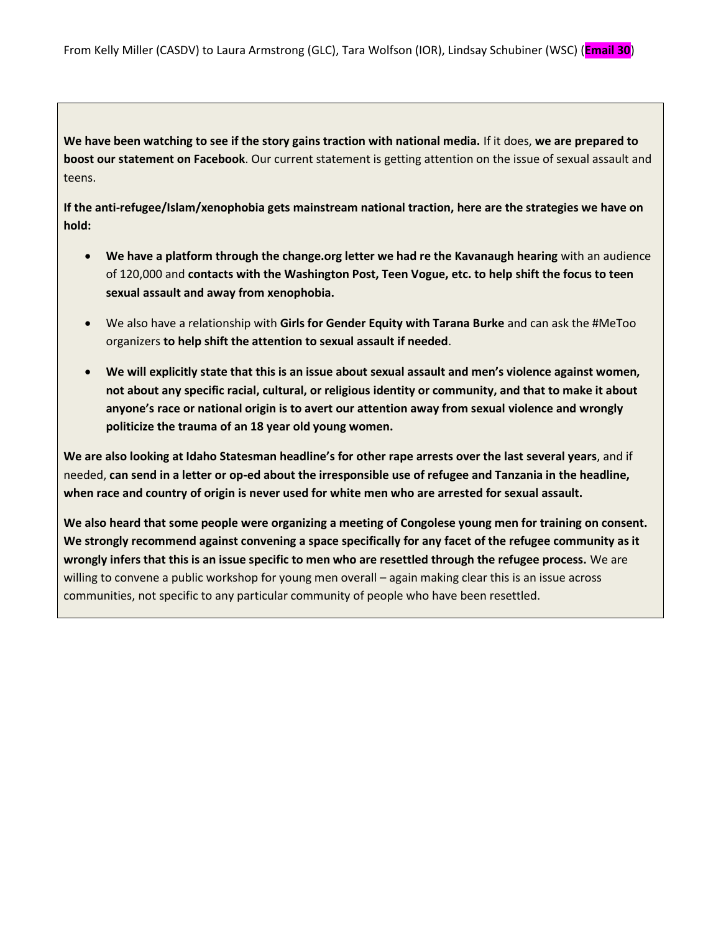**We have been watching to see if the story gains traction with national media.** If it does, **we are prepared to boost our statement on Facebook**. Our current statement is getting attention on the issue of sexual assault and teens.

**If the anti-refugee/Islam/xenophobia gets mainstream national traction, here are the strategies we have on hold:**

- **We have a platform through the change.org letter we had re the Kavanaugh hearing** with an audience of 120,000 and **contacts with the Washington Post, Teen Vogue, etc. to help shift the focus to teen sexual assault and away from xenophobia.**
- We also have a relationship with **Girls for Gender Equity with Tarana Burke** and can ask the #MeToo organizers **to help shift the attention to sexual assault if needed**.
- **We will explicitly state that this is an issue about sexual assault and men's violence against women, not about any specific racial, cultural, or religious identity or community, and that to make it about anyone's race or national origin is to avert our attention away from sexual violence and wrongly politicize the trauma of an 18 year old young women.**

**We are also looking at Idaho Statesman headline's for other rape arrests over the last several years**, and if needed, **can send in a letter or op-ed about the irresponsible use of refugee and Tanzania in the headline, when race and country of origin is never used for white men who are arrested for sexual assault.**

**We also heard that some people were organizing a meeting of Congolese young men for training on consent. We strongly recommend against convening a space specifically for any facet of the refugee community as it wrongly infers that this is an issue specific to men who are resettled through the refugee process.** We are willing to convene a public workshop for young men overall – again making clear this is an issue across communities, not specific to any particular community of people who have been resettled.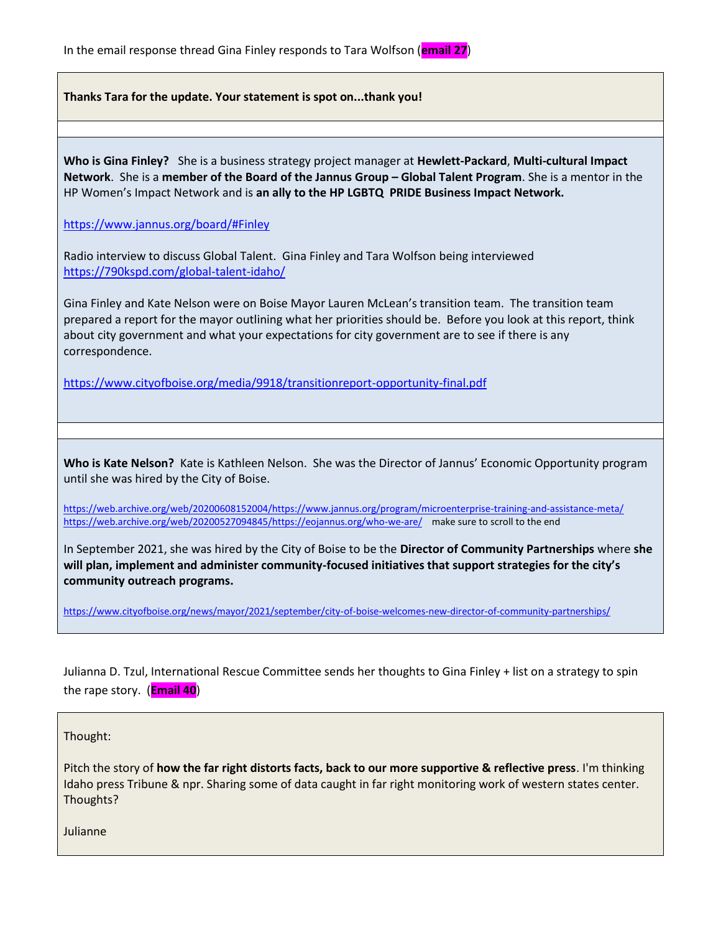**Thanks Tara for the update. Your statement is spot on...thank you!**

**Who is Gina Finley?** She is a business strategy project manager at **Hewlett-Packard**, **Multi-cultural Impact Network**. She is a **member of the Board of the Jannus Group – Global Talent Program**. She is a mentor in the HP Women's Impact Network and is **an ally to the HP LGBTQ PRIDE Business Impact Network.**

<https://www.jannus.org/board/#Finley>

Radio interview to discuss Global Talent. Gina Finley and Tara Wolfson being interviewed <https://790kspd.com/global-talent-idaho/>

Gina Finley and Kate Nelson were on Boise Mayor Lauren McLean's transition team. The transition team prepared a report for the mayor outlining what her priorities should be. Before you look at this report, think about city government and what your expectations for city government are to see if there is any correspondence.

<https://www.cityofboise.org/media/9918/transitionreport-opportunity-final.pdf>

**Who is Kate Nelson?** Kate is Kathleen Nelson. She was the Director of Jannus' Economic Opportunity program until she was hired by the City of Boise.

[https://web.archive.org/web/20200608152004/https://www.jannus.org/program/microenterprise-training-and-assistance-meta/](https://web.archive.org/web/20200608152004/https:/www.jannus.org/program/microenterprise-training-and-assistance-meta/) [https://web.archive.org/web/20200527094845/https://eojannus.org/who-we-are/](https://web.archive.org/web/20200527094845/https:/eojannus.org/who-we-are/) make sure to scroll to the end

In September 2021, she was hired by the City of Boise to be the **Director of Community Partnerships** where **she will plan, implement and administer community-focused initiatives that support strategies for the city's community outreach programs.** 

<https://www.cityofboise.org/news/mayor/2021/september/city-of-boise-welcomes-new-director-of-community-partnerships/>

Julianna D. Tzul, International Rescue Committee sends her thoughts to Gina Finley + list on a strategy to spin the rape story. (**Email 40**)

Thought:

Pitch the story of **how the far right distorts facts, back to our more supportive & reflective press**. I'm thinking Idaho press Tribune & npr. Sharing some of data caught in far right monitoring work of western states center. Thoughts?

Julianne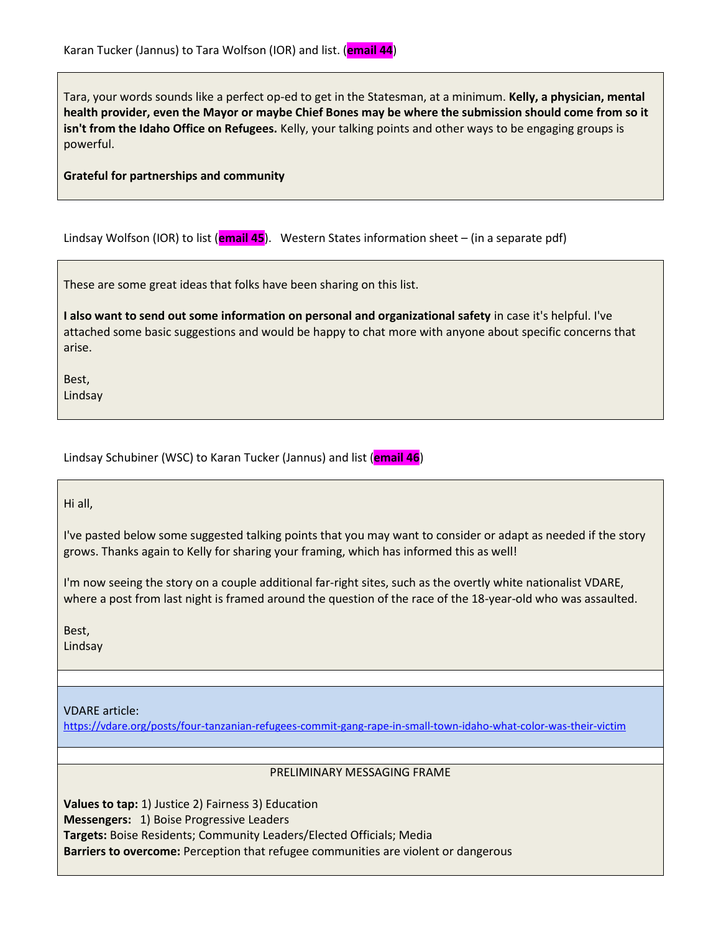Tara, your words sounds like a perfect op-ed to get in the Statesman, at a minimum. **Kelly, a physician, mental health provider, even the Mayor or maybe Chief Bones may be where the submission should come from so it isn't from the Idaho Office on Refugees.** Kelly, your talking points and other ways to be engaging groups is powerful.

**Grateful for partnerships and community**

Lindsay Wolfson (IOR) to list (**email 45**). Western States information sheet – (in a separate pdf)

These are some great ideas that folks have been sharing on this list.

**I also want to send out some information on personal and organizational safety** in case it's helpful. I've attached some basic suggestions and would be happy to chat more with anyone about specific concerns that arise.

Best, Lindsay

Lindsay Schubiner (WSC) to Karan Tucker (Jannus) and list (**email 46**)

Hi all,

I've pasted below some suggested talking points that you may want to consider or adapt as needed if the story grows. Thanks again to Kelly for sharing your framing, which has informed this as well!

I'm now seeing the story on a couple additional far-right sites, such as the overtly white nationalist VDARE, where a post from last night is framed around the question of the race of the 18-year-old who was assaulted.

Best,

Lindsay

### VDARE article:

<https://vdare.org/posts/four-tanzanian-refugees-commit-gang-rape-in-small-town-idaho-what-color-was-their-victim>

#### PRELIMINARY MESSAGING FRAME

**Values to tap:** 1) Justice 2) Fairness 3) Education **Messengers:** 1) Boise Progressive Leaders **Targets:** Boise Residents; Community Leaders/Elected Officials; Media **Barriers to overcome:** Perception that refugee communities are violent or dangerous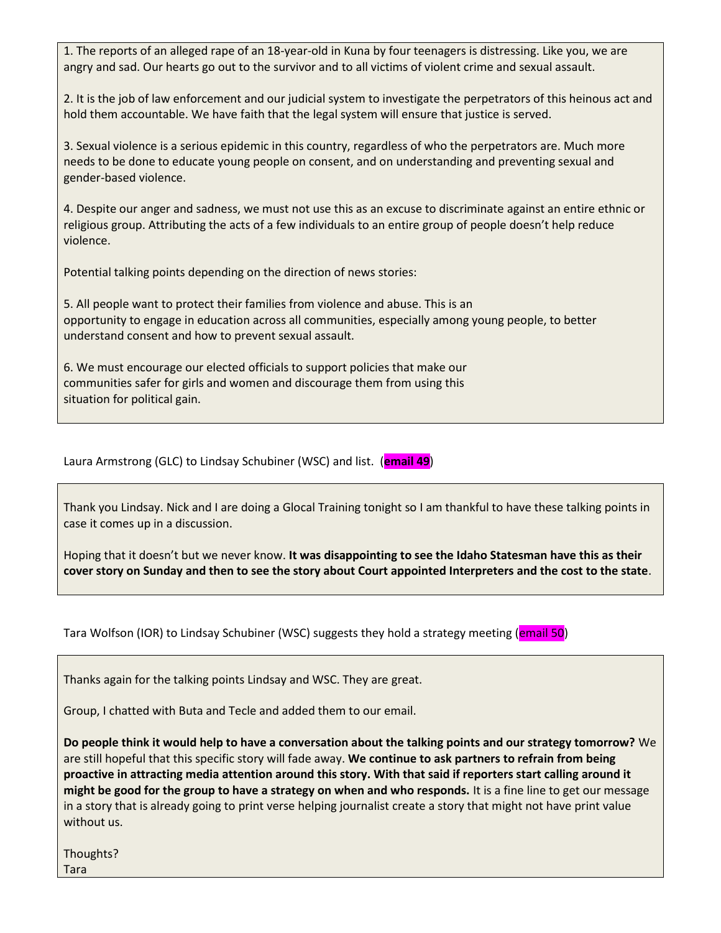1. The reports of an alleged rape of an 18-year-old in Kuna by four teenagers is distressing. Like you, we are angry and sad. Our hearts go out to the survivor and to all victims of violent crime and sexual assault.

2. It is the job of law enforcement and our judicial system to investigate the perpetrators of this heinous act and hold them accountable. We have faith that the legal system will ensure that justice is served.

3. Sexual violence is a serious epidemic in this country, regardless of who the perpetrators are. Much more needs to be done to educate young people on consent, and on understanding and preventing sexual and gender-based violence.

4. Despite our anger and sadness, we must not use this as an excuse to discriminate against an entire ethnic or religious group. Attributing the acts of a few individuals to an entire group of people doesn't help reduce violence.

Potential talking points depending on the direction of news stories:

5. All people want to protect their families from violence and abuse. This is an opportunity to engage in education across all communities, especially among young people, to better understand consent and how to prevent sexual assault.

6. We must encourage our elected officials to support policies that make our communities safer for girls and women and discourage them from using this situation for political gain.

Laura Armstrong (GLC) to Lindsay Schubiner (WSC) and list. (**email 49**)

Thank you Lindsay. Nick and I are doing a Glocal Training tonight so I am thankful to have these talking points in case it comes up in a discussion.

Hoping that it doesn't but we never know. **It was disappointing to see the Idaho Statesman have this as their cover story on Sunday and then to see the story about Court appointed Interpreters and the cost to the state**.

Tara Wolfson (IOR) to Lindsay Schubiner (WSC) suggests they hold a strategy meeting (email 50)

Thanks again for the talking points Lindsay and WSC. They are great.

Group, I chatted with Buta and Tecle and added them to our email.

**Do people think it would help to have a conversation about the talking points and our strategy tomorrow?** We are still hopeful that this specific story will fade away. **We continue to ask partners to refrain from being proactive in attracting media attention around this story. With that said if reporters start calling around it might be good for the group to have a strategy on when and who responds.** It is a fine line to get our message in a story that is already going to print verse helping journalist create a story that might not have print value without us.

Thoughts? Tara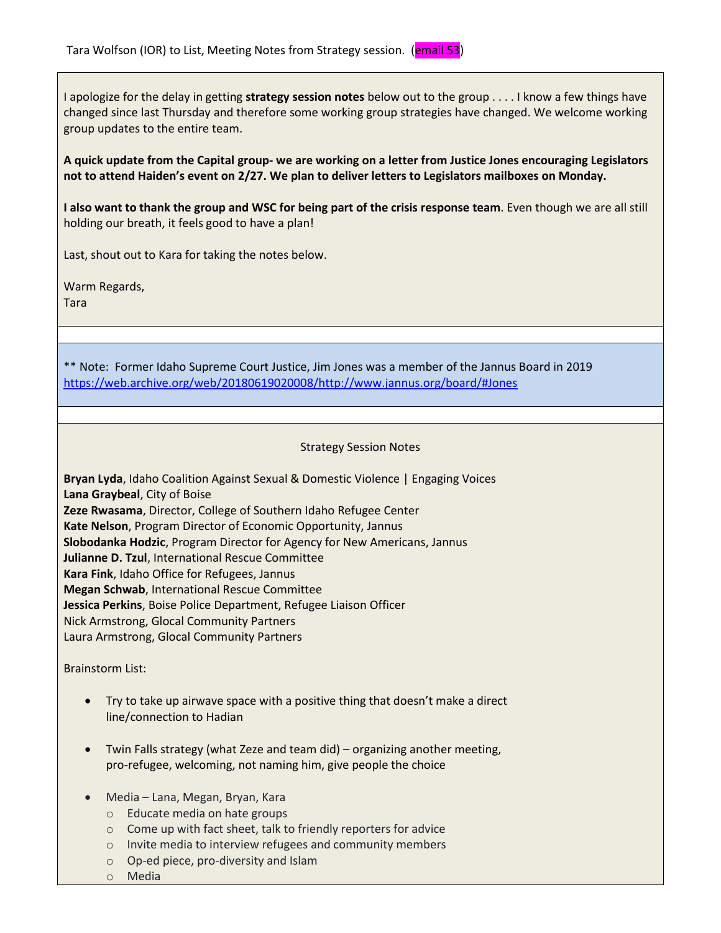I apologize for the delay in getting **strategy session notes** below out to the group . . . . I know a few things have changed since last Thursday and therefore some working group strategies have changed. We welcome working group updates to the entire team.

**A quick update from the Capital group- we are working on a letter from Justice Jones encouraging Legislators not to attend Haiden's event on 2/27. We plan to deliver letters to Legislators mailboxes on Monday.**

**I also want to thank the group and WSC for being part of the crisis response team**. Even though we are all still holding our breath, it feels good to have a plan!

Last, shout out to Kara for taking the notes below.

Warm Regards,

Tara

\*\* Note: Former Idaho Supreme Court Justice, Jim Jones was a member of the Jannus Board in 2019 [https://web.archive.org/web/20180619020008/http://www.jannus.org/board/#Jones](https://web.archive.org/web/20180619020008/http:/www.jannus.org/board/#Jones)

#### Strategy Session Notes

**Bryan Lyda**, Idaho Coalition Against Sexual & Domestic Violence | Engaging Voices **Lana Graybeal**, City of Boise **Zeze Rwasama**, Director, College of Southern Idaho Refugee Center **Kate Nelson**, Program Director of Economic Opportunity, Jannus **Slobodanka Hodzic**, Program Director for Agency for New Americans, Jannus **Julianne D. Tzul**, International Rescue Committee **Kara Fink**, Idaho Office for Refugees, Jannus **Megan Schwab**, International Rescue Committee **Jessica Perkins**, Boise Police Department, Refugee Liaison Officer Nick Armstrong, Glocal Community Partners Laura Armstrong, Glocal Community Partners

Brainstorm List:

- Try to take up airwave space with a positive thing that doesn't make a direct line/connection to Hadian
- Twin Falls strategy (what Zeze and team did) organizing another meeting, pro-refugee, welcoming, not naming him, give people the choice
- Media Lana, Megan, Bryan, Kara
	- o Educate media on hate groups
	- o Come up with fact sheet, talk to friendly reporters for advice
	- o Invite media to interview refugees and community members
	- o Op-ed piece, pro-diversity and Islam
	- o Media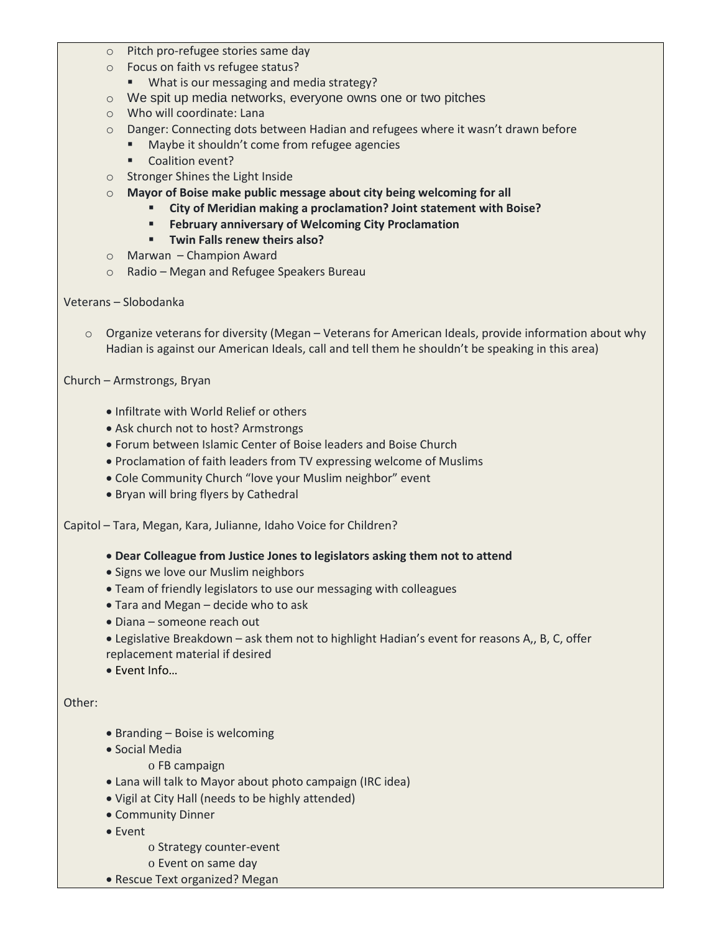- o Pitch pro-refugee stories same day
- o Focus on faith vs refugee status?
	- **What is our messaging and media strategy?**
- o We spit up media networks, everyone owns one or two pitches
- o Who will coordinate: Lana
- o Danger: Connecting dots between Hadian and refugees where it wasn't drawn before
	- Maybe it shouldn't come from refugee agencies
	- **Coalition event?**
- o Stronger Shines the Light Inside
- o **Mayor of Boise make public message about city being welcoming for all**
	- **City of Meridian making a proclamation? Joint statement with Boise?**
		- **February anniversary of Welcoming City Proclamation**
		- **Twin Falls renew theirs also?**
- o Marwan Champion Award
- o Radio Megan and Refugee Speakers Bureau
- Veterans Slobodanka
	- o Organize veterans for diversity (Megan Veterans for American Ideals, provide information about why Hadian is against our American Ideals, call and tell them he shouldn't be speaking in this area)

Church – Armstrongs, Bryan

- Infiltrate with World Relief or others
- Ask church not to host? Armstrongs
- Forum between Islamic Center of Boise leaders and Boise Church
- Proclamation of faith leaders from TV expressing welcome of Muslims
- Cole Community Church "love your Muslim neighbor" event
- Bryan will bring flyers by Cathedral

Capitol – Tara, Megan, Kara, Julianne, Idaho Voice for Children?

- **Dear Colleague from Justice Jones to legislators asking them not to attend**
- Signs we love our Muslim neighbors
- Team of friendly legislators to use our messaging with colleagues
- Tara and Megan decide who to ask
- Diana someone reach out
- Legislative Breakdown ask them not to highlight Hadian's event for reasons A,, B, C, offer replacement material if desired
- Event Info…

### Other:

- Branding Boise is welcoming
- Social Media
	- o FB campaign
- Lana will talk to Mayor about photo campaign (IRC idea)
- Vigil at City Hall (needs to be highly attended)
- Community Dinner
- Event
	- o Strategy counter-event
	- o Event on same day
- Rescue Text organized? Megan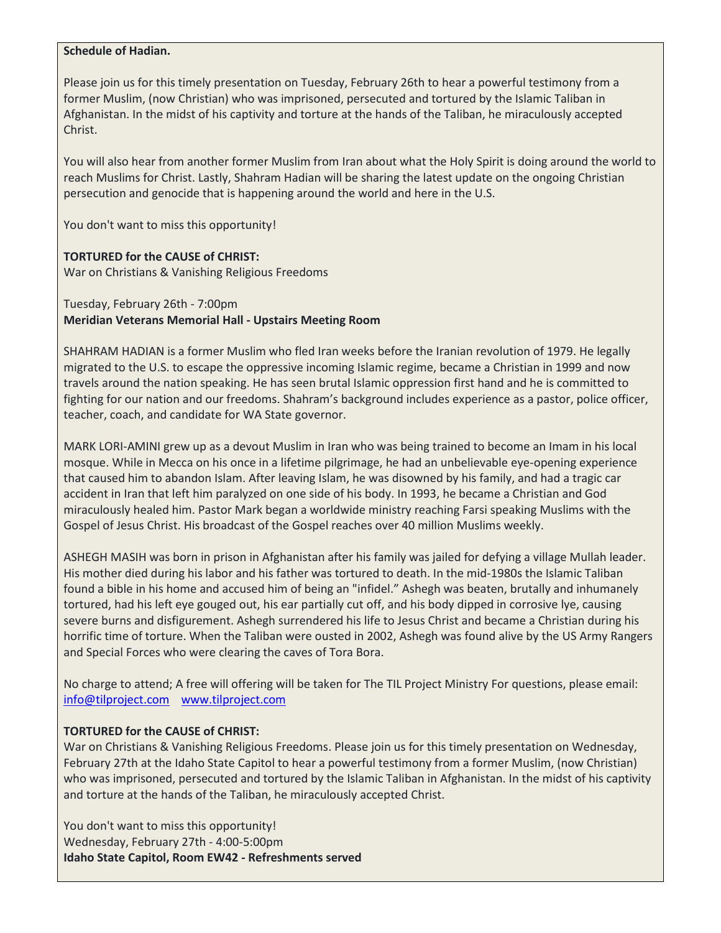#### **Schedule of Hadian.**

Please join us for this timely presentation on Tuesday, February 26th to hear a powerful testimony from a former Muslim, (now Christian) who was imprisoned, persecuted and tortured by the Islamic Taliban in Afghanistan. In the midst of his captivity and torture at the hands of the Taliban, he miraculously accepted Christ.

You will also hear from another former Muslim from Iran about what the Holy Spirit is doing around the world to reach Muslims for Christ. Lastly, Shahram Hadian will be sharing the latest update on the ongoing Christian persecution and genocide that is happening around the world and here in the U.S.

You don't want to miss this opportunity!

## **TORTURED for the CAUSE of CHRIST:**

War on Christians & Vanishing Religious Freedoms

Tuesday, February 26th - 7:00pm **Meridian Veterans Memorial Hall - Upstairs Meeting Room**

SHAHRAM HADIAN is a former Muslim who fled Iran weeks before the Iranian revolution of 1979. He legally migrated to the U.S. to escape the oppressive incoming Islamic regime, became a Christian in 1999 and now travels around the nation speaking. He has seen brutal Islamic oppression first hand and he is committed to fighting for our nation and our freedoms. Shahram's background includes experience as a pastor, police officer, teacher, coach, and candidate for WA State governor.

MARK LORI-AMINI grew up as a devout Muslim in Iran who was being trained to become an Imam in his local mosque. While in Mecca on his once in a lifetime pilgrimage, he had an unbelievable eye-opening experience that caused him to abandon Islam. After leaving Islam, he was disowned by his family, and had a tragic car accident in Iran that left him paralyzed on one side of his body. In 1993, he became a Christian and God miraculously healed him. Pastor Mark began a worldwide ministry reaching Farsi speaking Muslims with the Gospel of Jesus Christ. His broadcast of the Gospel reaches over 40 million Muslims weekly.

ASHEGH MASIH was born in prison in Afghanistan after his family was jailed for defying a village Mullah leader. His mother died during his labor and his father was tortured to death. In the mid-1980s the Islamic Taliban found a bible in his home and accused him of being an "infidel." Ashegh was beaten, brutally and inhumanely tortured, had his left eye gouged out, his ear partially cut off, and his body dipped in corrosive lye, causing severe burns and disfigurement. Ashegh surrendered his life to Jesus Christ and became a Christian during his horrific time of torture. When the Taliban were ousted in 2002, Ashegh was found alive by the US Army Rangers and Special Forces who were clearing the caves of Tora Bora.

No charge to attend; A free will offering will be taken for The TIL Project Ministry For questions, please email: [info@tilproject.com](mailto:info@tilproject.com) [www.tilproject.com](http://www.tilproject.com/)

# **TORTURED for the CAUSE of CHRIST:**

War on Christians & Vanishing Religious Freedoms. Please join us for this timely presentation on Wednesday, February 27th at the Idaho State Capitol to hear a powerful testimony from a former Muslim, (now Christian) who was imprisoned, persecuted and tortured by the Islamic Taliban in Afghanistan. In the midst of his captivity and torture at the hands of the Taliban, he miraculously accepted Christ.

You don't want to miss this opportunity! Wednesday, February 27th - 4:00-5:00pm **Idaho State Capitol, Room EW42 - Refreshments served**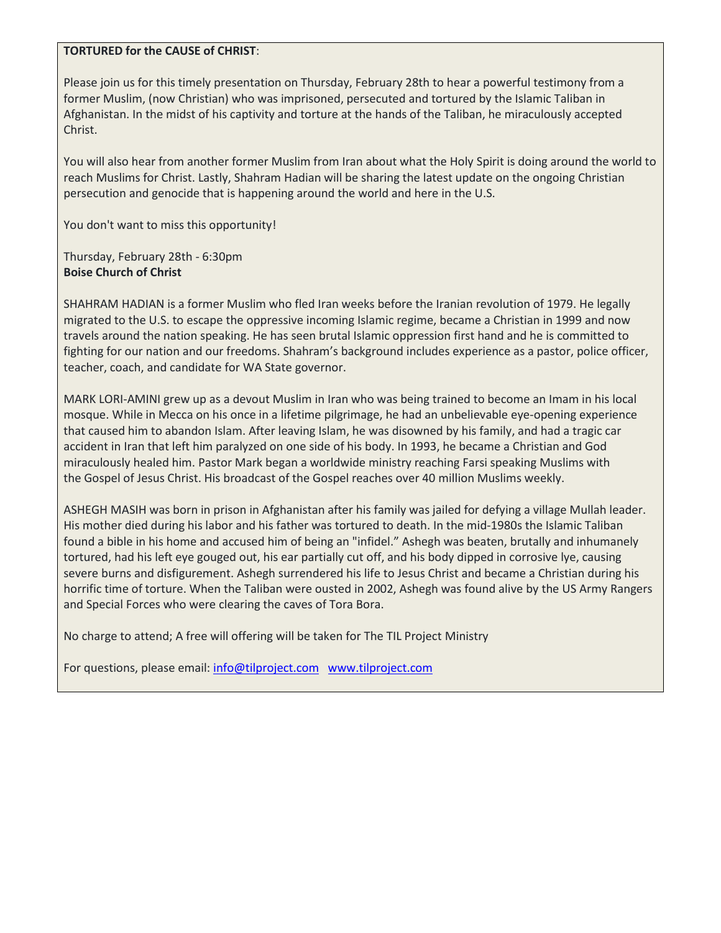#### **TORTURED for the CAUSE of CHRIST**:

Please join us for this timely presentation on Thursday, February 28th to hear a powerful testimony from a former Muslim, (now Christian) who was imprisoned, persecuted and tortured by the Islamic Taliban in Afghanistan. In the midst of his captivity and torture at the hands of the Taliban, he miraculously accepted Christ.

You will also hear from another former Muslim from Iran about what the Holy Spirit is doing around the world to reach Muslims for Christ. Lastly, Shahram Hadian will be sharing the latest update on the ongoing Christian persecution and genocide that is happening around the world and here in the U.S.

You don't want to miss this opportunity!

Thursday, February 28th - 6:30pm **Boise Church of Christ**

SHAHRAM HADIAN is a former Muslim who fled Iran weeks before the Iranian revolution of 1979. He legally migrated to the U.S. to escape the oppressive incoming Islamic regime, became a Christian in 1999 and now travels around the nation speaking. He has seen brutal Islamic oppression first hand and he is committed to fighting for our nation and our freedoms. Shahram's background includes experience as a pastor, police officer, teacher, coach, and candidate for WA State governor.

MARK LORI-AMINI grew up as a devout Muslim in Iran who was being trained to become an Imam in his local mosque. While in Mecca on his once in a lifetime pilgrimage, he had an unbelievable eye-opening experience that caused him to abandon Islam. After leaving Islam, he was disowned by his family, and had a tragic car accident in Iran that left him paralyzed on one side of his body. In 1993, he became a Christian and God miraculously healed him. Pastor Mark began a worldwide ministry reaching Farsi speaking Muslims with the Gospel of Jesus Christ. His broadcast of the Gospel reaches over 40 million Muslims weekly.

ASHEGH MASIH was born in prison in Afghanistan after his family was jailed for defying a village Mullah leader. His mother died during his labor and his father was tortured to death. In the mid-1980s the Islamic Taliban found a bible in his home and accused him of being an "infidel." Ashegh was beaten, brutally and inhumanely tortured, had his left eye gouged out, his ear partially cut off, and his body dipped in corrosive lye, causing severe burns and disfigurement. Ashegh surrendered his life to Jesus Christ and became a Christian during his horrific time of torture. When the Taliban were ousted in 2002, Ashegh was found alive by the US Army Rangers and Special Forces who were clearing the caves of Tora Bora.

No charge to attend; A free will offering will be taken for The TIL Project Ministry

For questions, please email: [info@tilproject.com](mailto:info@tilproject.com) [www.tilproject.com](http://www.tilproject.com/)